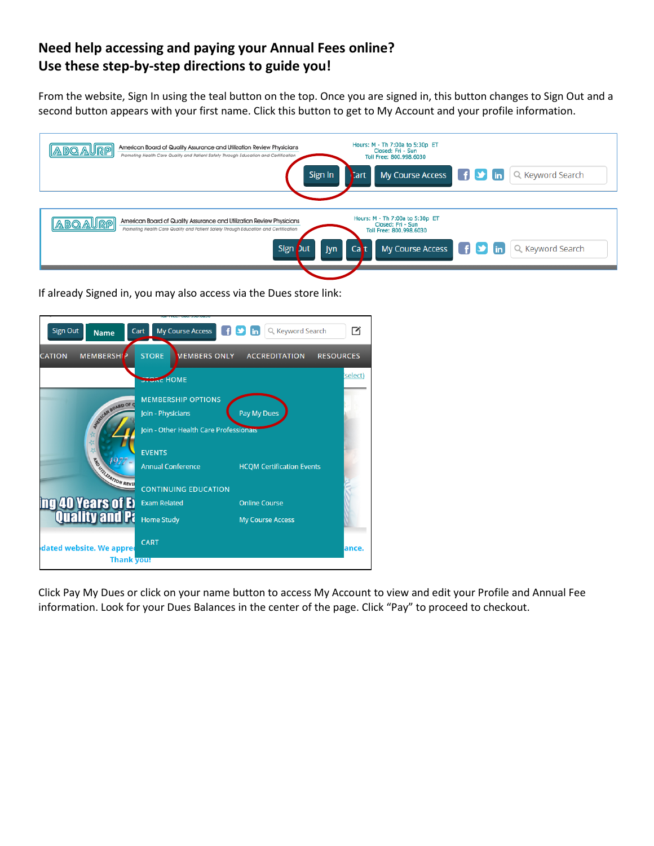## **Need help accessing and paying your Annual Fees online? Use these step-by-step directions to guide you!**

From the website, Sign In using the teal button on the top. Once you are signed in, this button changes to Sign Out and a second button appears with your first name. Click this button to get to My Account and your profile information.



If already Signed in, you may also access via the Dues store link:

| <b>Sign Out</b><br><b>Name</b>                    | <b>My Course Access</b><br>Cart        | Q Keyword Search<br><b>in</b>    |                  |
|---------------------------------------------------|----------------------------------------|----------------------------------|------------------|
| <b>MEMBERSHIP</b><br><b>CATION</b>                | <b>STORE</b><br><b>MEMBERS ONLY</b>    | <b>ACCREDITATION</b>             | <b>RESOURCES</b> |
|                                                   | <b>STORE HOME</b>                      |                                  | select)          |
|                                                   | <b>MEMBERSHIP OPTIONS</b>              |                                  |                  |
| <b>SECOND BOARD OF Q</b>                          | Join - Physicians                      | Pay My Dues                      |                  |
| ☆<br>╬                                            | Join - Other Health Care Professionais |                                  |                  |
|                                                   | <b>EVENTS</b>                          |                                  |                  |
|                                                   | <b>Annual Conference</b>               | <b>HCQM Certification Events</b> |                  |
| <b>ES EN DESCRIPTION REVIS</b>                    | <b>CONTINUING EDUCATION</b>            |                                  |                  |
| <b>ng 40 Years of Example 1</b><br>Quality and Pa | <b>Exam Related</b>                    | <b>Online Course</b>             |                  |
|                                                   | <b>Home Study</b>                      | <b>My Course Access</b>          |                  |
| dated website. We appred                          | <b>CART</b>                            |                                  | lance.           |
| <b>Thank you!</b>                                 |                                        |                                  |                  |

Click Pay My Dues or click on your name button to access My Account to view and edit your Profile and Annual Fee information. Look for your Dues Balances in the center of the page. Click "Pay" to proceed to checkout.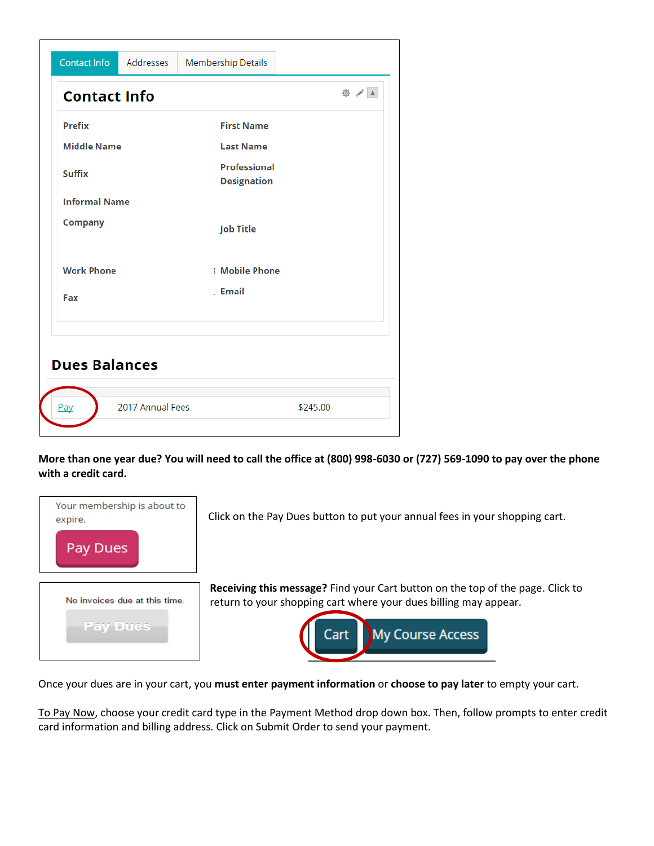| Contact Info         | Addresses        | Membership Details                        |          |
|----------------------|------------------|-------------------------------------------|----------|
| <b>Contact Info</b>  |                  |                                           | ◎ / ▲    |
| <b>Prefix</b>        |                  | <b>First Name</b>                         |          |
| <b>Middle Name</b>   |                  | <b>Last Name</b>                          |          |
| <b>Suffix</b>        |                  | <b>Professional</b><br><b>Designation</b> |          |
| <b>Informal Name</b> |                  |                                           |          |
| <b>Company</b>       |                  | <b>Job Title</b>                          |          |
| <b>Work Phone</b>    |                  | <b>Mobile Phone</b>                       |          |
| Fax                  |                  | Email                                     |          |
| <b>Dues Balances</b> | 2017 Annual Fees |                                           |          |
| Pay                  |                  |                                           | \$245.00 |

**More than one year due? You will need to call the office at (800) 998-6030 or (727) 569-1090 to pay over the phone with a credit card.**

| Your membership is about to<br>expire.<br>ues    | Click on the Pay Dues button to put your annual fees in your shopping cart.                                                                                                    |
|--------------------------------------------------|--------------------------------------------------------------------------------------------------------------------------------------------------------------------------------|
| No invoices due at this time.<br><b>Pay Dues</b> | Receiving this message? Find your Cart button on the top of the page. Click to<br>return to your shopping cart where your dues billing may appear.<br>My Course Access<br>Cart |

Once your dues are in your cart, you **must enter payment information** or **choose to pay later** to empty your cart.

To Pay Now, choose your credit card type in the Payment Method drop down box. Then, follow prompts to enter credit card information and billing address. Click on Submit Order to send your payment.